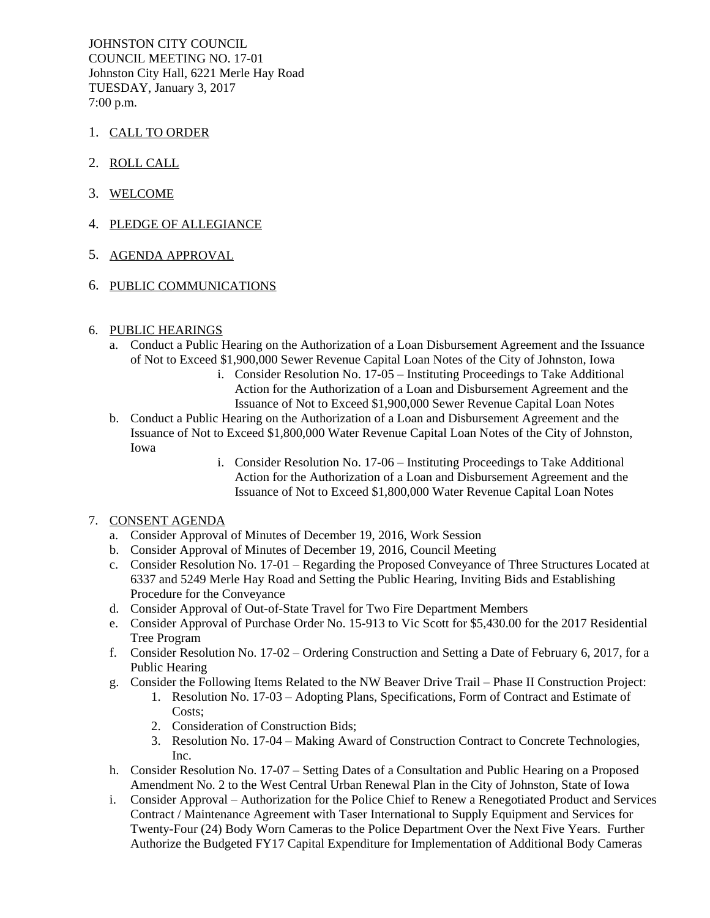JOHNSTON CITY COUNCIL COUNCIL MEETING NO. 17-01 Johnston City Hall, 6221 Merle Hay Road TUESDAY, January 3, 2017 7:00 p.m.

- 1. CALL TO ORDER
- 2. ROLL CALL
- 3. WELCOME
- 4. PLEDGE OF ALLEGIANCE
- 5. AGENDA APPROVAL
- 6. PUBLIC COMMUNICATIONS
- 6. PUBLIC HEARINGS
	- a. Conduct a Public Hearing on the Authorization of a Loan Disbursement Agreement and the Issuance of Not to Exceed \$1,900,000 Sewer Revenue Capital Loan Notes of the City of Johnston, Iowa
		- i. Consider Resolution No. 17-05 Instituting Proceedings to Take Additional Action for the Authorization of a Loan and Disbursement Agreement and the Issuance of Not to Exceed \$1,900,000 Sewer Revenue Capital Loan Notes
	- b. Conduct a Public Hearing on the Authorization of a Loan and Disbursement Agreement and the Issuance of Not to Exceed \$1,800,000 Water Revenue Capital Loan Notes of the City of Johnston, Iowa
		- i. Consider Resolution No. 17-06 Instituting Proceedings to Take Additional Action for the Authorization of a Loan and Disbursement Agreement and the Issuance of Not to Exceed \$1,800,000 Water Revenue Capital Loan Notes

## 7. CONSENT AGENDA

- a. Consider Approval of Minutes of December 19, 2016, Work Session
- b. Consider Approval of Minutes of December 19, 2016, Council Meeting
- c. Consider Resolution No. 17-01 Regarding the Proposed Conveyance of Three Structures Located at 6337 and 5249 Merle Hay Road and Setting the Public Hearing, Inviting Bids and Establishing Procedure for the Conveyance
- d. Consider Approval of Out-of-State Travel for Two Fire Department Members
- e. Consider Approval of Purchase Order No. 15-913 to Vic Scott for \$5,430.00 for the 2017 Residential Tree Program
- f. Consider Resolution No. 17-02 Ordering Construction and Setting a Date of February 6, 2017, for a Public Hearing
- g. Consider the Following Items Related to the NW Beaver Drive Trail Phase II Construction Project:
	- 1. Resolution No. 17-03 Adopting Plans, Specifications, Form of Contract and Estimate of Costs:
		- 2. Consideration of Construction Bids;
		- 3. Resolution No. 17-04 Making Award of Construction Contract to Concrete Technologies, Inc.
- h. Consider Resolution No. 17-07 Setting Dates of a Consultation and Public Hearing on a Proposed Amendment No. 2 to the West Central Urban Renewal Plan in the City of Johnston, State of Iowa
- i. Consider Approval Authorization for the Police Chief to Renew a Renegotiated Product and Services Contract / Maintenance Agreement with Taser International to Supply Equipment and Services for Twenty-Four (24) Body Worn Cameras to the Police Department Over the Next Five Years. Further Authorize the Budgeted FY17 Capital Expenditure for Implementation of Additional Body Cameras